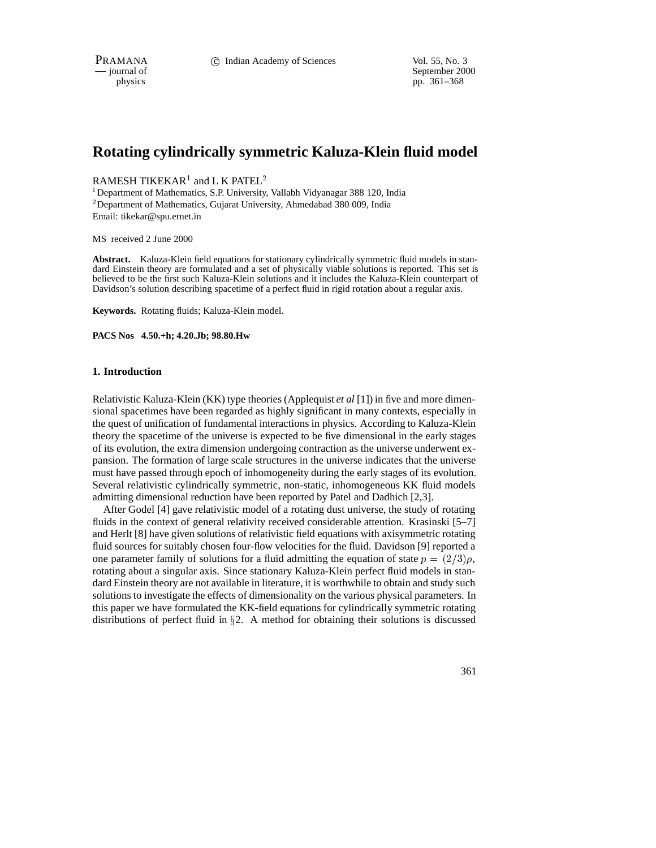September 2000 physics pp. 361–368

# **Rotating cylindrically symmetric Kaluza-Klein fluid model**

<code>RAMESH</code> TIKEKAR $^{\rm l}$  and <code>L</code> K <code>PATEL $^{\rm 2}$ </code>

<sup>1</sup>Department of Mathematics, S.P. University, Vallabh Vidyanagar 388 120, India <sup>2</sup> Department of Mathematics, Gujarat University, Ahmedabad 380 009, India Email: tikekar@spu.ernet.in

MS received 2 June 2000

**Abstract.** Kaluza-Klein field equations for stationary cylindrically symmetric fluid models in standard Einstein theory are formulated and a set of physically viable solutions is reported. This set is believed to be the first such Kaluza-Klein solutions and it includes the Kaluza-Klein counterpart of Davidson's solution describing spacetime of a perfect fluid in rigid rotation about a regular axis.

**Keywords.** Rotating fluids; Kaluza-Klein model.

**PACS Nos 4.50.+h; 4.20.Jb; 98.80.Hw**

#### **1. Introduction**

Relativistic Kaluza-Klein (KK) type theories (Applequist *et al* [1]) in five and more dimensional spacetimes have been regarded as highly significant in many contexts, especially in the quest of unification of fundamental interactions in physics. According to Kaluza-Klein theory the spacetime of the universe is expected to be five dimensional in the early stages of its evolution, the extra dimension undergoing contraction as the universe underwent expansion. The formation of large scale structures in the universe indicates that the universe must have passed through epoch of inhomogeneity during the early stages of its evolution. Several relativistic cylindrically symmetric, non-static, inhomogeneous KK fluid models admitting dimensional reduction have been reported by Patel and Dadhich [2,3].

After Godel [4] gave relativistic model of a rotating dust universe, the study of rotating fluids in the context of general relativity received considerable attention. Krasinski [5–7] and Herlt [8] have given solutions of relativistic field equations with axisymmetric rotating fluid sources for suitably chosen four-flow velocities for the fluid. Davidson [9] reported a one parameter family of solutions for a fluid admitting the equation of state  $p = (2/3)\rho$ , rotating about a singular axis. Since stationary Kaluza-Klein perfect fluid models in standard Einstein theory are not available in literature, it is worthwhile to obtain and study such solutions to investigate the effects of dimensionality on the various physical parameters. In this paper we have formulated the KK-field equations for cylindrically symmetric rotating distributions of perfect fluid in  $\S$ 2. A method for obtaining their solutions is discussed

361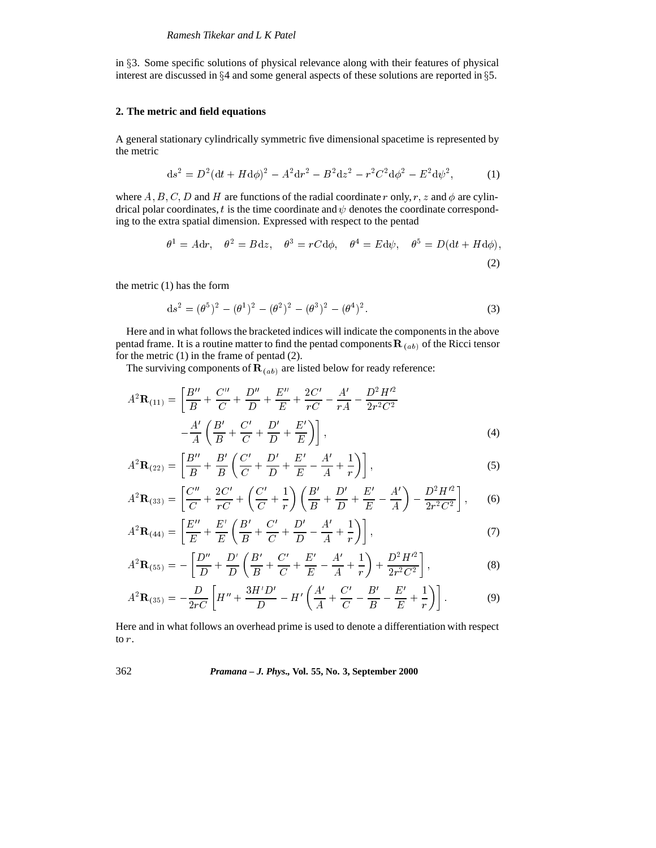in §3. Some specific solutions of physical relevance along with their features of physical interest are discussed in  $\S 4$  and some general aspects of these solutions are reported in  $\S 5$ .

### **2. The metric and field equations**

A general stationary cylindrically symmetric five dimensional spacetime is represented by the metric

$$
ds^{2} = D^{2}(dt + Hd\phi)^{2} - A^{2}dr^{2} - B^{2}dz^{2} - r^{2}C^{2}d\phi^{2} - E^{2}d\psi^{2},
$$
 (1)

where A, B, C, D and H are functions of the radial coordinate r only, r, z and  $\phi$  are cylindrical polar coordinates, t is the time coordinate and  $\psi$  denotes the coordinate corresponding to the extra spatial dimension. Expressed with respect to the pentad

$$
\theta^1 = A dr, \quad \theta^2 = B dz, \quad \theta^3 = r C d\phi, \quad \theta^4 = E d\psi, \quad \theta^5 = D(dt + H d\phi),
$$
\n(2)

the metric (1) has the form

$$
ds^{2} = (\theta^{5})^{2} - (\theta^{1})^{2} - (\theta^{2})^{2} - (\theta^{3})^{2} - (\theta^{4})^{2}.
$$
 (3)

Here and in what follows the bracketed indices will indicate the components in the above pentad frame. It is a routine matter to find the pentad components  $\mathbf{R}_{(ab)}$  of the Ricci tensor for the metric  $(1)$  in the frame of pentad  $(2)$ .

The surviving components of  $\mathbf{R}_{(ab)}$  are listed below for ready reference:

$$
A^{2}\mathbf{R}_{(11)} = \left[\frac{B''}{B} + \frac{C''}{C} + \frac{D''}{D} + \frac{E''}{E} + \frac{2C'}{rC} - \frac{A'}{rA} - \frac{D^{2}H'^{2}}{2r^{2}C^{2}} - \frac{A'}{A}\left(\frac{B'}{B} + \frac{C'}{C} + \frac{D'}{D} + \frac{E'}{E}\right)\right],
$$
\n(4)

$$
A^{2}\mathbf{R}_{(22)} = \left[\frac{B''}{B} + \frac{B'}{B}\left(\frac{C'}{C} + \frac{D'}{D} + \frac{E'}{E} - \frac{A'}{A} + \frac{1}{r}\right)\right],
$$
\n(5)

$$
A^{2}\mathbf{R}_{(33)} = \left[\frac{C''}{C} + \frac{2C'}{rC} + \left(\frac{C'}{C} + \frac{1}{r}\right)\left(\frac{B'}{B} + \frac{D'}{D} + \frac{E'}{E} - \frac{A'}{A}\right) - \frac{D^{2}H'^{2}}{2r^{2}C^{2}}\right],
$$
 (6)

$$
A^{2}\mathbf{R}_{(44)} = \left[\frac{E''}{E} + \frac{E'}{E}\left(\frac{B'}{B} + \frac{C'}{C} + \frac{D'}{D} - \frac{A'}{A} + \frac{1}{r}\right)\right],
$$
\n(7)

$$
A^{2}\mathbf{R}_{(55)} = -\left[\frac{D''}{D} + \frac{D'}{D}\left(\frac{B'}{B} + \frac{C'}{C} + \frac{E'}{E} - \frac{A'}{A} + \frac{1}{r}\right) + \frac{D^{2}H'^{2}}{2r^{2}C^{2}}\right],
$$
\n(8)

$$
A^{2}\mathbf{R}_{(35)} = -\frac{D}{2rC} \left[ H'' + \frac{3H'D'}{D} - H' \left( \frac{A'}{A} + \frac{C'}{C} - \frac{B'}{B} - \frac{E'}{E} + \frac{1}{r} \right) \right].
$$
 (9)

Here and in what follows an overhead prime is used to denote a differentiation with respect to r.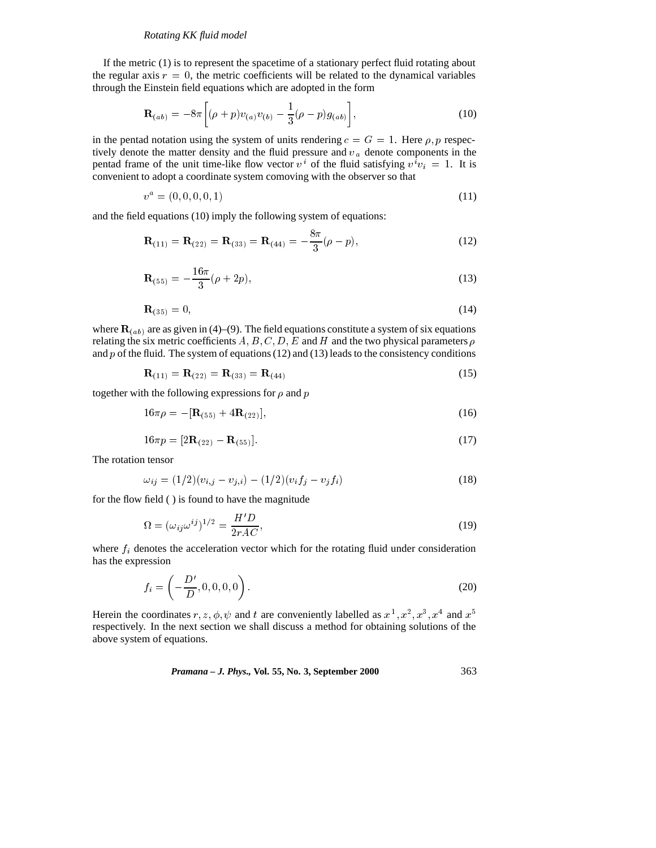#### *Rotating KK fluid model*

If the metric (1) is to represent the spacetime of a stationary perfect fluid rotating about the regular axis  $r = 0$ , the metric coefficients will be related to the dynamical variables through the Einstein field equations which are adopted in the form

$$
\mathbf{R}_{(ab)} = -8\pi \left[ (\rho + p) v_{(a)} v_{(b)} - \frac{1}{3} (\rho - p) g_{(ab)} \right],
$$
\n(10)

in the pentad notation using the system of units rendering  $c = G = 1$ . Here  $\rho$ , p respectively denote the matter density and the fluid pressure and  $v_a$  denote components in the pentad frame of the unit time-like flow vector  $v^i$  of the fluid satisfying  $v^i v_i = 1$ . It is convenient to adopt a coordinate system comoving with the observer so that

$$
v^a = (0, 0, 0, 0, 1) \tag{11}
$$

and the field equations (10) imply the following system of equations:

$$
\mathbf{R}_{(11)} = \mathbf{R}_{(22)} = \mathbf{R}_{(33)} = \mathbf{R}_{(44)} = -\frac{8\pi}{3}(\rho - p),\tag{12}
$$

$$
\mathbf{R}_{(55)} = -\frac{16\pi}{3}(\rho + 2p),\tag{13}
$$

$$
\mathbf{R}_{(35)} = 0,\tag{14}
$$

where  $\mathbf{R}_{(ab)}$  are as given in (4)–(9). The field equations constitute a system of six equations relating the six metric coefficients  $A, B, C, D, E$  and H and the two physical parameters  $\rho$ and  $p$  of the fluid. The system of equations (12) and (13) leads to the consistency conditions

$$
\mathbf{R}_{(11)} = \mathbf{R}_{(22)} = \mathbf{R}_{(33)} = \mathbf{R}_{(44)} \tag{15}
$$

together with the following expressions for  $\rho$  and  $p$ 

$$
16\pi\rho = -[\mathbf{R}_{(55)} + 4\mathbf{R}_{(22)}],\tag{16}
$$

$$
16\pi p = [2\mathbf{R}_{(22)} - \mathbf{R}_{(55)}].
$$
\n(17)

The rotation tensor

$$
\omega_{ij} = (1/2)(v_{i,j} - v_{j,i}) - (1/2)(v_i f_j - v_j f_i)
$$
\n(18)

for the flow field ( ) is found to have the magnitude

$$
\Omega = (\omega_{ij}\omega^{ij})^{1/2} = \frac{H'D}{2rAC},\tag{19}
$$

where  $f_i$  denotes the acceleration vector which for the rotating fluid under consideration has the expression

$$
f_i = \left(-\frac{D'}{D}, 0, 0, 0, 0\right).
$$
 (20)

Herein the coordinates  $r, z, \phi, \psi$  and t are conveniently labelled as  $x^1, x^2, x^3, x^4$  and  $x^5$ respectively. In the next section we shall discuss a method for obtaining solutions of the above system of equations.

*Pramana – J. Phys.,* **Vol. 55, No. 3, September 2000** 363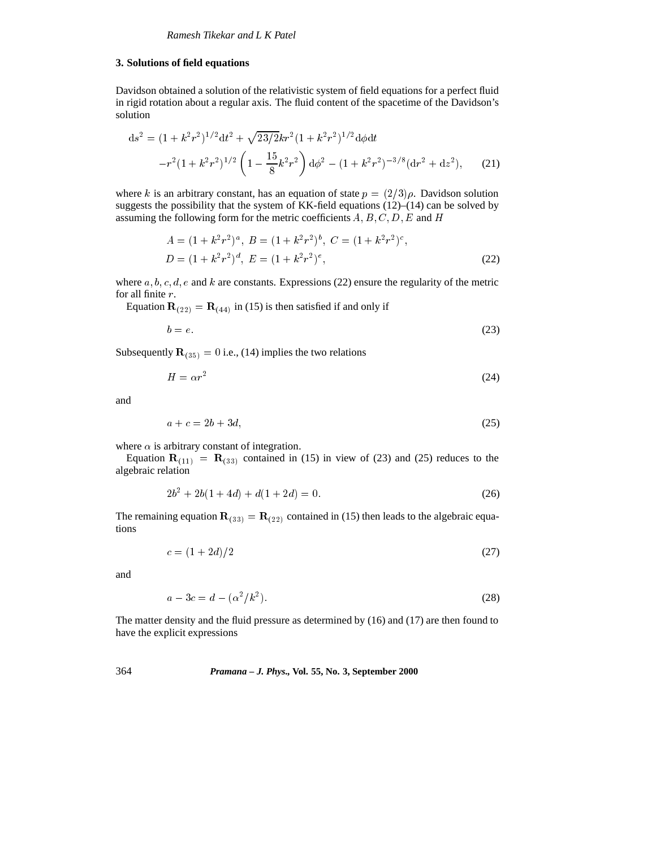#### **3. Solutions of field equations**

Davidson obtained a solution of the relativistic system of field equations for a perfect fluid in rigid rotation about a regular axis. The fluid content of the spacetime of the Davidson's solution

$$
ds^{2} = (1 + k^{2}r^{2})^{1/2}dt^{2} + \sqrt{23/2}kr^{2}(1 + k^{2}r^{2})^{1/2}d\phi dt
$$

$$
-r^{2}(1 + k^{2}r^{2})^{1/2}\left(1 - \frac{15}{8}k^{2}r^{2}\right)d\phi^{2} - (1 + k^{2}r^{2})^{-3/8}(dr^{2} + dz^{2}), \qquad (21)
$$

where k is an arbitrary constant, has an equation of state  $p = (2/3)\rho$ . Davidson solution suggests the possibility that the system of KK-field equations  $(12)$ – $(14)$  can be solved by assuming the following form for the metric coefficients  $A, B, C, D, E$  and H

$$
A = (1 + k2r2)a, B = (1 + k2r2)b, C = (1 + k2r2)c,
$$
  

$$
D = (1 + k2r2)d, E = (1 + k2r2)e,
$$
 (22)

where  $a, b, c, d, e$  and k are constants. Expressions (22) ensure the regularity of the metric for all finite r.

Equation  $\mathbf{R}_{(22)} = \mathbf{R}_{(44)}$  in (15) is then satisfied if and only if

$$
b = e.\tag{23}
$$

Subsequently  $\mathbf{R}_{(35)} = 0$  i.e., (14) implies the two relations

$$
H = \alpha r^2 \tag{24}
$$

and

$$
a + c = 2b + 3d,\tag{25}
$$

where  $\alpha$  is arbitrary constant of integration.

Equation  $\mathbf{R}_{(11)} = \mathbf{R}_{(33)}$  contained in (15) in view of (23) and (25) reduces to the algebraic relation

$$
2b^2 + 2b(1 + 4d) + d(1 + 2d) = 0.
$$
 (26)

The remaining equation  $\mathbf{R}_{(33)} = \mathbf{R}_{(22)}$  contained in (15) then leads to the algebraic equations

$$
c = (1 + 2d)/2 \tag{27}
$$

and

$$
a - 3c = d - (\alpha^2 / k^2). \tag{28}
$$

The matter density and the fluid pressure as determined by (16) and (17) are then found to have the explicit expressions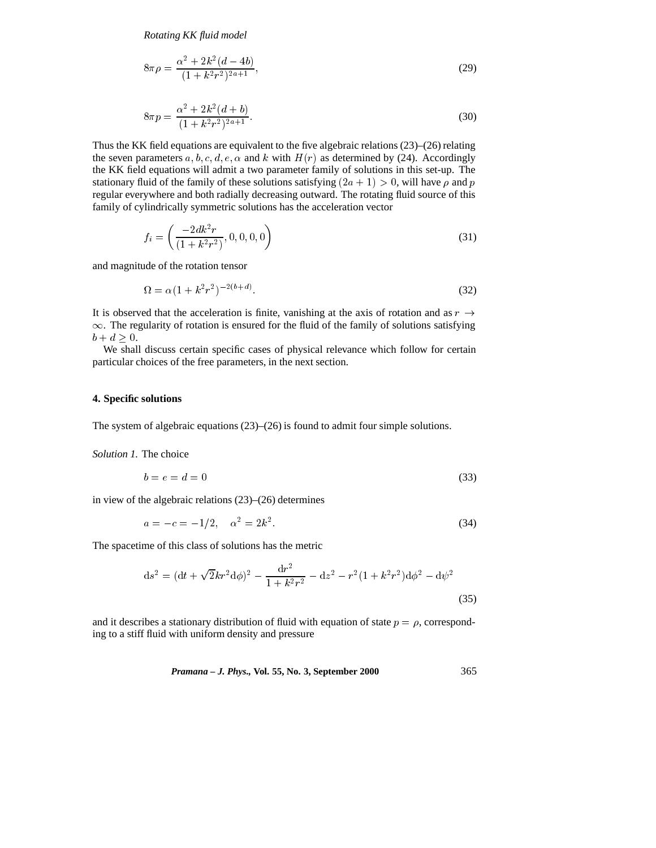*Rotating KK fluid model*

$$
8\pi\rho = \frac{\alpha^2 + 2k^2(d - 4b)}{(1 + k^2r^2)^{2a + 1}},
$$
\n(29)

$$
8\pi p = \frac{\alpha^2 + 2k^2(d+b)}{(1+k^2r^2)^{2a+1}}.
$$
\n(30)

Thus the KK field equations are equivalent to the five algebraic relations (23)–(26) relating the seven parameters a, b, c, d, e,  $\alpha$  and k with  $H(r)$  as determined by (24). Accordingly the KK field equations will admit a two parameter family of solutions in this set-up. The stationary fluid of the family of these solutions satisfying  $(2a + 1) > 0$ , will have  $\rho$  and p regular everywhere and both radially decreasing outward. The rotating fluid source of this family of cylindrically symmetric solutions has the acceleration vector

$$
f_i = \left(\frac{-2dk^2r}{(1+k^2r^2)}, 0, 0, 0, 0\right)
$$
\n(31)

and magnitude of the rotation tensor

$$
\Omega = \alpha (1 + k^2 r^2)^{-2(b+d)}.\tag{32}
$$

It is observed that the acceleration is finite, vanishing at the axis of rotation and as  $r \rightarrow$  $\infty$ . The regularity of rotation is ensured for the fluid of the family of solutions satisfying  $b + d > 0.$ 

We shall discuss certain specific cases of physical relevance which follow for certain particular choices of the free parameters, in the next section.

#### **4. Specific solutions**

The system of algebraic equations (23)–(26) is found to admit four simple solutions.

#### *Solution 1.* The choice

$$
b = e = d = 0 \tag{33}
$$

in view of the algebraic relations (23)–(26) determines

$$
a = -c = -1/2, \quad \alpha^2 = 2k^2. \tag{34}
$$

The spacetime of this class of solutions has the metric

$$
ds^{2} = (dt + \sqrt{2}kr^{2}d\phi)^{2} - \frac{dr^{2}}{1 + k^{2}r^{2}} - dz^{2} - r^{2}(1 + k^{2}r^{2})d\phi^{2} - d\psi^{2}
$$
\n(35)

and it describes a stationary distribution of fluid with equation of state  $p = \rho$ , corresponding to a stiff fluid with uniform density and pressure

*Pramana – J. Phys.,* **Vol. 55, No. 3, September 2000** 365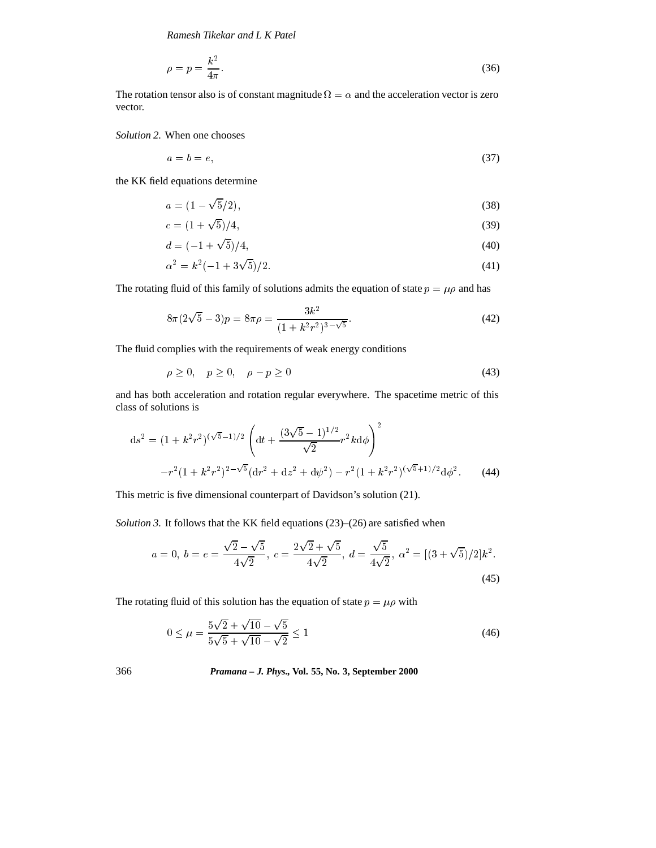*Ramesh Tikekar and L K Patel*

$$
\rho = p = \frac{k^2}{4\pi}.\tag{36}
$$

The rotation tensor also is of constant magnitude  $\Omega = \alpha$  and the acceleration vector is zero vector.

*Solution 2.* When one chooses

$$
a = b = e,\tag{37}
$$

the KK field equations determine

$$
a = (1 - \sqrt{5}/2),\tag{38}
$$

$$
c = (1 + \sqrt{5})/4,\tag{39}
$$

$$
d = (-1 + \sqrt{5})/4,\tag{40}
$$

$$
\alpha^2 = k^2(-1 + 3\sqrt{5})/2. \tag{41}
$$

The rotating fluid of this family of solutions admits the equation of state  $p = \mu \rho$  and has

$$
8\pi(2\sqrt{5}-3)p = 8\pi\rho = \frac{3k^2}{(1+k^2r^2)^{3-\sqrt{5}}}.
$$
\n(42)

The fluid complies with the requirements of weak energy conditions

$$
\rho \ge 0, \quad p \ge 0, \quad \rho - p \ge 0 \tag{43}
$$

and has both acceleration and rotation regular everywhere. The spacetime metric of this class of solutions is

$$
ds^{2} = (1 + k^{2}r^{2})^{(\sqrt{5}-1)/2} \left( dt + \frac{(3\sqrt{5}-1)^{1/2}}{\sqrt{2}} r^{2}kd\phi \right)^{2}
$$

$$
-r^{2}(1 + k^{2}r^{2})^{2-\sqrt{5}}(dr^{2} + dz^{2} + d\psi^{2}) - r^{2}(1 + k^{2}r^{2})^{(\sqrt{5}+1)/2}d\phi^{2}.
$$
 (44)

This metric is five dimensional counterpart of Davidson's solution (21).

*Solution 3.* It follows that the KK field equations (23)–(26) are satisfied when

$$
a = 0, b = e = \frac{\sqrt{2} - \sqrt{5}}{4\sqrt{2}}, c = \frac{2\sqrt{2} + \sqrt{5}}{4\sqrt{2}}, d = \frac{\sqrt{5}}{4\sqrt{2}}, \alpha^2 = [(3 + \sqrt{5})/2]k^2.
$$
\n(45)

The rotating fluid of this solution has the equation of state  $p = \mu \rho$  with

$$
0 \le \mu = \frac{5\sqrt{2} + \sqrt{10} - \sqrt{5}}{5\sqrt{5} + \sqrt{10} - \sqrt{2}} \le 1
$$
\n(46)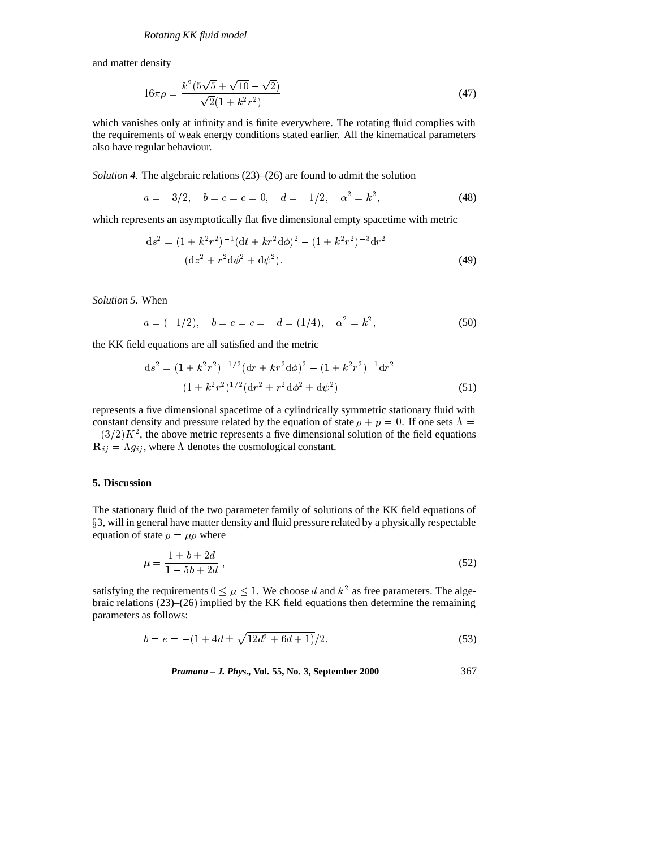and matter density

$$
16\pi\rho = \frac{k^2(5\sqrt{5} + \sqrt{10} - \sqrt{2})}{\sqrt{2}(1 + k^2r^2)}
$$
\n(47)

which vanishes only at infinity and is finite everywhere. The rotating fluid complies with the requirements of weak energy conditions stated earlier. All the kinematical parameters also have regular behaviour.

*Solution 4.* The algebraic relations (23)–(26) are found to admit the solution

$$
a = -3/2, \quad b = c = e = 0, \quad d = -1/2, \quad \alpha^2 = k^2,
$$
\n(48)

which represents an asymptotically flat five dimensional empty spacetime with metric

$$
ds^{2} = (1 + k^{2}r^{2})^{-1}(dt + kr^{2}d\phi)^{2} - (1 + k^{2}r^{2})^{-3}dr^{2}
$$

$$
- (dz^{2} + r^{2}d\phi^{2} + d\psi^{2}).
$$
(49)

*Solution 5.* When

$$
a = (-1/2), \quad b = e = c = -d = (1/4), \quad \alpha^2 = k^2,
$$
\n(50)

the KK field equations are all satisfied and the metric

$$
ds^{2} = (1 + k^{2}r^{2})^{-1/2}(dr + kr^{2}d\phi)^{2} - (1 + k^{2}r^{2})^{-1}dr^{2}
$$

$$
-(1 + k^{2}r^{2})^{1/2}(dr^{2} + r^{2}d\phi^{2} + d\psi^{2})
$$
(51)

represents a five dimensional spacetime of a cylindrically symmetric stationary fluid with constant density and pressure related by the equation of state  $\rho + p = 0$ . If one sets  $\Lambda =$  $-(3/2)K^2$ , the above metric represents a five dimensional solution of the field equations  $\mathbf{R}_{ij} = \Lambda g_{ij}$ , where  $\Lambda$  denotes the cosmological constant.

#### **5. Discussion**

The stationary fluid of the two parameter family of solutions of the KK field equations of <sup>x</sup>3, will in general have matter density and fluid pressure related by a physically respectable equation of state  $p = \mu \rho$  where

$$
\mu = \frac{1 + b + 2d}{1 - 5b + 2d},\tag{52}
$$

satisfying the requirements  $0 \leq \mu \leq 1$ . We choose d and  $k^2$  as free parameters. The algebraic relations (23)–(26) implied by the KK field equations then determine the remaining parameters as follows:

$$
b = e = -(1 + 4d \pm \sqrt{12d^2 + 6d + 1})/2,
$$
\n(53)

*Pramana – J. Phys.,* **Vol. 55, No. 3, September 2000** 367